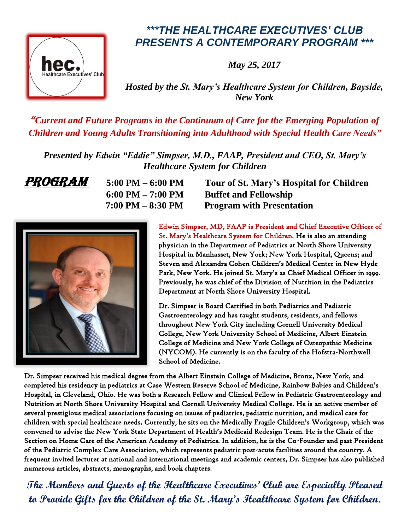

## *\*\*\*THE HEALTHCARE EXECUTIVES' CLUB PRESENTS A CONTEMPORARY PROGRAM \*\*\**

*May 25, 2017*

*Hosted by the St. Mary's Healthcare System for Children, Bayside, New York* 

*"Current and Future Programs in the Continuum of Care for the Emerging Population of Children and Young Adults Transitioning into Adulthood with Special Health Care Needs"*

*Presented by Edwin "Eddie" Simpser, M.D., FAAP, President and CEO, St. Mary's Healthcare System for Children*

**PROGRAM** 5:00 PM – 6:00 PM Tour of St. Mary's Hospital for Children  **6:00 PM – 7:00 PM Buffet and Fellowship 7:00 PM – 8:30 PM Program with Presentation**



Edwin Simpser, MD, FAAP is President and Chief Executive Officer of St. Mary's Healthcare System for Children. He is also an attending physician in the Department of Pediatrics at North Shore University Hospital in Manhasset, New York; New York Hospital, Queens; and Steven and Alexandra Cohen Children's Medical Center in New Hyde Park, New York. He joined St. Mary's as Chief Medical Officer in 1999. Previously, he was chief of the Division of Nutrition in the Pediatrics Department at North Shore University Hospital.

Dr. Simpser is Board Certified in both Pediatrics and Pediatric Gastroenterology and has taught students, residents, and fellows throughout New York City including Cornell University Medical College, New York University School of Medicine, Albert Einstein College of Medicine and New York College of Osteopathic Medicine (NYCOM). He currently is on the faculty of the Hofstra-Northwell School of Medicine.

Dr. Simpser received his medical degree from the Albert Einstein College of Medicine, Bronx, New York, and completed his residency in pediatrics at Case Western Reserve School of Medicine, Rainbow Babies and Children's Hospital, in Cleveland, Ohio. He was both a Research Fellow and Clinical Fellow in Pediatric Gastroenterology and Nutrition at North Shore University Hospital and Cornell University Medical College. He is an active member of several prestigious medical associations focusing on issues of pediatrics, pediatric nutrition, and medical care for children with special healthcare needs. Currently, he sits on the Medically Fragile Children's Workgroup, which was convened to advise the New York State Department of Health's Medicaid Redesign Team. He is the Chair of the Section on Home Care of the American Academy of Pediatrics. In addition, he is the Co-Founder and past President of the Pediatric Complex Care Association, which represents pediatric post-acute facilities around the country. A frequent invited lecturer at national and international meetings and academic centers, Dr. Simpser has also published numerous articles, abstracts, monographs, and book chapters.

**The Members and Guests of the Healthcare Executives' Club are Especially Pleased to Provide Gifts for the Children of the St. Mary's Healthcare System for Children.**